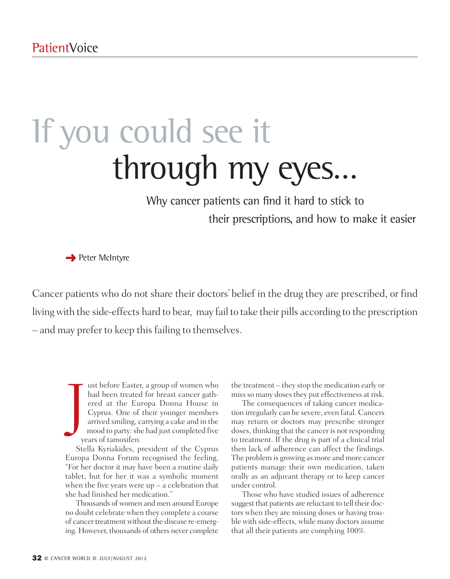# If you could see it through my eyes…

### Why cancer patients can find it hard to stick to their prescriptions, and how to make it easier

**→** Peter McIntyre

Cancer patients who do not share their doctors' belief in the drug they are prescribed, or find livingwith the side-effects hard to bear, may fail to take their pills according to the prescription – and may prefer to keep this failing to themselves.

J ust before Easter, a group of women who had been treated for breast cancer gathered at the Europa Donna House in Cyprus. One of their younger members arrived smiling, carrying a cake and in the mood to party: she had just completed five years of tamoxifen.

Stella Kyriakides, president of the Cyprus Europa Donna Forum recognised the feeling, "For her doctor it may have been a routine daily tablet, but for her it was a symbolic moment when the five years were  $up - a$  celebration that she had finished her medication."

Thousands of women and men around Europe no doubt celebrate when they complete a course of cancer treatment without the disease re-emerging. However, thousands of others never complete the treatment – they stop the medication early or miss so many doses they put effectiveness at risk.

The consequences of taking cancer medication irregularly can be severe, even fatal. Cancers may return or doctors may prescribe stronger doses, thinking that the cancer is not responding to treatment. If the drug is part of a clinical trial then lack of adherence can affect the findings. The problem is growing as more and more cancer patients manage their own medication, taken orally as an adjuvant therapy or to keep cancer under control.

Those who have studied issues of adherence suggest that patients are reluctant to tell their doctors when they are missing doses or having trouble with side-effects, while many doctors assume that all their patients are complying 100%.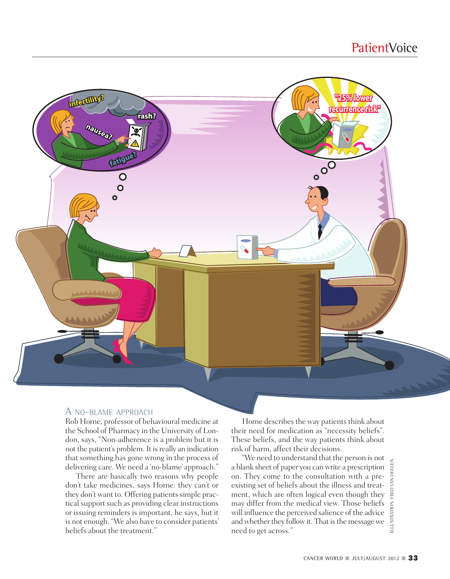

#### A NO-BLAME APPROACH

Rob Horne, professor of behavioural medicine at the School of Pharmacy in the University of London, says, "Non-adherence is a problem but it is not the patient's problem. It is really an indication that something has gone wrong in the process of delivering care. We need a 'no-blame' approach."

There are basically two reasons why people don't take medicines, says Horne: they can't or they don't want to. Offering patients simple practical support such as providing clear instructions or issuing reminders is important, he says, but it is not enough. "We also have to consider patients'

Horne describes the way patients think about their need for medication as "necessity beliefs". These beliefs, and the way patients think about risk of harm, affect their decisions.

belivering and solid work are worked to distribute the person is not<br>delivering care. We need a 'no-blame' approach." a blank sheet of paper you can write a prescription<br>don't take medicines, says Horne: they can't or exis "We need to understand that the person is not a blank sheet of paper you can write a prescription on. They come to the consultation with a preexisting set of beliefs about the illness and treatment, which are often logical even though they may differ from the medical view. Those beliefs will influence the perceived salience of the advice and whether they follow it. That is the message we need to get across."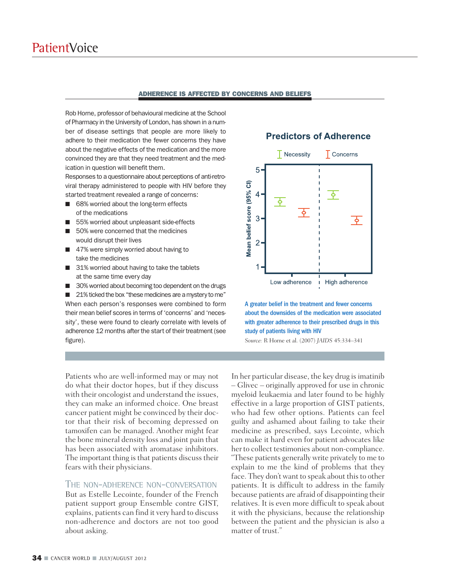#### **ADHERENCE IS AFFECTED BY CONCERNS AND BELIEFS**

Rob Horne, professor of behavioural medicine at the School of Pharmacy in the University of London, has shown in a number of disease settings that people are more likely to adhere to their medication the fewer concerns they have about the negative effects of the medication and the more convinced they are that they need treatment and the medication in question will benefit them.

Responses to a questionnaire about perceptions of anti-retroviral therapy administered to people with HIV before they started treatment revealed a range of concerns:

- 68% worried about the long-term effects of the medications
- 55% worried about unpleasant side-effects
- 50% were concerned that the medicines would disrupt their lives
- 47% were simply worried about having to take the medicines
- 31% worried about having to take the tablets at the same time every day
- 30% worried about becoming too dependent on the drugs

■ 21% ticked the box "these medicines are a mystery to me" When each person's responses were combined to form their mean belief scores in terms of 'concerns' and 'necessity', these were found to clearly correlate with levels of adherence 12 months after the start of their treatment (see figure).

Patients who are well-informed may or may not do what their doctor hopes, but if they discuss with their oncologist and understand the issues, they can make an informed choice. One breast cancer patient might be convinced by their doctor that their risk of becoming depressed on tamoxifen can be managed. Another might fear the bone mineral density loss and joint pain that has been associated with aromatase inhibitors. The important thing is that patients discuss their fears with their physicians.

#### THE NON-ADHERENCE NON-CONVERSATION

But as Estelle Lecointe, founder of the French patient support group Ensemble contre GIST, explains, patients can find it very hard to discuss non-adherence and doctors are not too good about asking.

#### **Predictors of Adherence**



A greater belief in the treatment and fewer concerns about the downsides of the medication were associated with greater adherence to their prescribed drugs in this study of patients living with HIV

*Source:* R Horne et al. (2007) *JAIDS* 45:334–341

In her particular disease, the key drug is imatinib – Glivec – originally approved for use in chronic myeloid leukaemia and later found to be highly effective in a large proportion of GIST patients, who had few other options. Patients can feel guilty and ashamed about failing to take their medicine as prescribed, says Lecointe, which can make it hard even for patient advocates like her to collect testimonies about non-compliance. "These patients generally write privately to me to explain to me the kind of problems that they face. They don't want to speak about this to other patients. It is difficult to address in the family because patients are afraid of disappointing their relatives. It is even more difficult to speak about it with the physicians, because the relationship between the patient and the physician is also a matter of trust."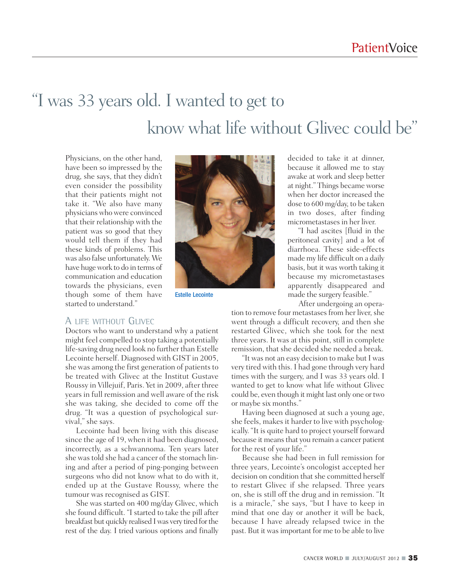## "I was 33 years old. I wanted to get to know what life without Glivec could be "

Physicians, on the other hand, have been so impressed by the drug, she says, that they didn't even consider the possibility that their patients might not take it. "We also have many physicians who were convinced that their relationship with the patient was so good that they would tell them if they had these kinds of problems. This was also false unfortunately. We have hugework to do in terms of communication and education towards the physicians, even though some of them have started to understand."



Estelle Lecointe

decided to take it at dinner, because it allowed me to stay awake at work and sleep better at night." Things became worse when her doctor increased the dose to 600 mg/day, to be taken in two doses, after finding micrometastases in her liver.

"I had ascites [fluid in the peritoneal cavity] and a lot of diarrhoea. These side-effects made my life difficult on a daily basis, but it was worth taking it because my micrometastases apparently disappeared and made the surgery feasible."

After undergoing an opera-

#### tion to remove four metastases from her liver, she went through a difficult recovery, and then she restarted Glivec, which she took for the next three years. It was at this point, still in complete remission, that she decided she needed a break.

"It was not an easy decision to make but I was very tired with this. I had gone through very hard times with the surgery, and I was 33 years old. I wanted to get to know what life without Glivec could be, even though it might last only one or two or maybe six months."

Having been diagnosed at such a young age, she feels, makes it harder to live with psychologically. "It is quite hard to project yourself forward because it means that you remain a cancer patient for the rest of your life."

Because she had been in full remission for three years, Lecointe's oncologist accepted her decision on condition that she committed herself to restart Glivec if she relapsed. Three years on, she is still off the drug and in remission. "It is a miracle," she says, "but I have to keep in mind that one day or another it will be back, because I have already relapsed twice in the past. But it wasimportant for me to be able to live

#### A LIFE WITHOUT GLIVEC

Doctors who want to understand why a patient might feel compelled to stop taking a potentially life-saving drug need look no further than Estelle Lecointe herself. Diagnosed with GIST in 2005, she was among the first generation of patients to be treated with Glivec at the Institut Gustave Roussy in Villejuif, Paris. Yet in 2009, after three years in full remission and well aware of the risk she was taking, she decided to come off the drug. "It was a question of psychological survival," she says.

Lecointe had been living with this disease since the age of 19, when it had been diagnosed, incorrectly, as a schwannoma. Ten years later she was told she had a cancer of the stomach lining and after a period of ping-ponging between surgeons who did not know what to do with it, ended up at the Gustave Roussy, where the tumour was recognised as GIST.

She was started on 400 mg/day Glivec, which she found difficult. "I started to take the pill after breakfast but quickly realised Iwas very tired forthe rest of the day. I tried various options and finally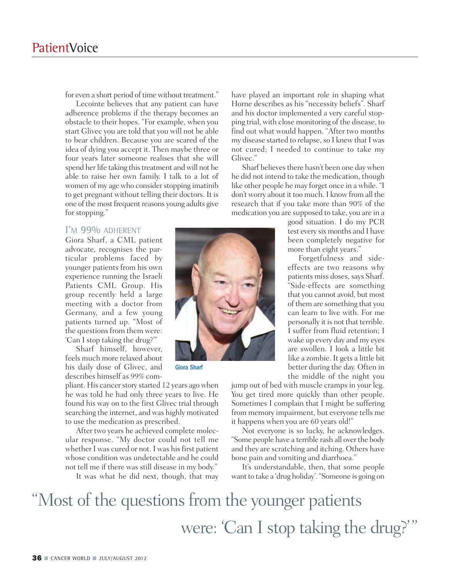for even a short period of time without treatment."

Lecointe believes that any patient can have adherence problems if the therapy becomes an obstacle to their hopes. "For example, when you start Glivec you are told that you will not be able to bear children. Because you are scared of the idea of dying you accept it. Then maybe three or four years later someone realises that she will spend her life taking this treatment and will not be able to raise her own family. I talk to a lot of women of my age who consider stopping imatinib to get pregnant without telling their doctors. It is one of the most frequent reasons young adults give for stopping."

#### I'M 99% ADHERENT

Giora Sharf, a CML patient advocate, recognises the particular problems faced by younger patients from his own experience running the Israeli Patients CML Group. His group recently held a large meeting with a doctor from Germany, and a few young patients turned up. "Most of the questions from them were: 'Can I stop taking the drug?'"

Sharf himself, however, feels much more relaxed about his daily dose of Glivec, and describes himself as 99% com-

pliant. His cancer story started 12 years ago when he was told he had only three years to live. He found his way on to the first Glivec trial through searching the internet, and was highly motivated to use the medication as prescribed.

After two years he achieved complete molecular response. "My doctor could not tell me whether I was cured or not. I was his first patient whose condition was undetectable and he could not tell me if there was still disease in my body."

It was what he did next, though, that may



Giora Sharf

have played an important role in shaping what Horne describes as his "necessity beliefs". Sharf and his doctor implemented a very careful stopping trial, with close monitoring of the disease, to find out what would happen. "After two months my disease started to relapse, so I knew that I was not cured; I needed to continue to take my Glivec."

Sharf believes there hasn't been one day when he did not intend to take the medication, though like other people he may forget once in a while. "I don't worry about it too much. I know from all the research that if you take more than 90% of the medication you are supposed to take, you are in a

> good situation. I do my PCR test every six months and I have been completely negative for more than eight years."

> Forgetfulness and sideeffects are two reasons why patients miss doses, says Sharf. "Side-effects are something that you cannot avoid, but most of them are something that you can learn to live with. For me personally it is not that terrible. I suffer from fluid retention; I wake up every day and my eyes are swollen. I look a little bit like a zombie. It gets a little bit better during the day. Often in the middle of the night you

jump out of bed with muscle cramps in your leg. You get tired more quickly than other people. Sometimes I complain that I might be suffering from memory impairment, but everyone tells me it happens when you are 60 years old!"

Not everyone is so lucky, he acknowledges. "Some people have a terrible rash all over the body and they are scratching and itching. Others have bone pain and vomiting and diarrhoea."

It's understandable, then, that some people want to take a 'drug holiday'. "Someone is going on

"Most of the questions from the younger patients were: 'Can I stop taking the drug?'"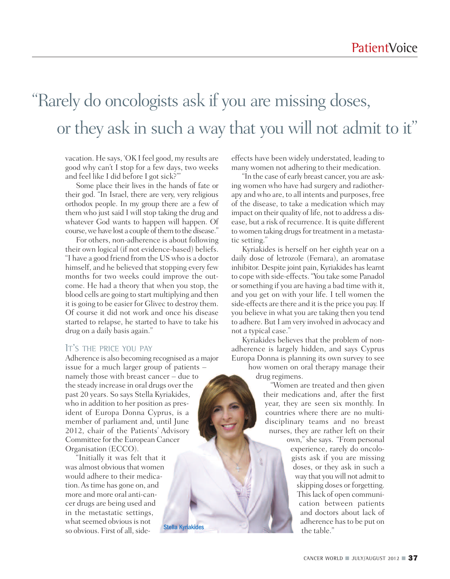### "Rarely do oncologists ask if you are missing doses, or they ask in such a way that you will not admit to it"

vacation. He says, 'OK I feel good, my results are good why can't I stop for a few days, two weeks and feel like I did before I got sick?'"

Some place their lives in the hands of fate or their god. "In Israel, there are very, very religious orthodox people. In my group there are a few of them who just said I will stop taking the drug and whatever God wants to happen will happen. Of course, we have lost a couple of them to the disease."

For others, non-adherence is about following their own logical (if not evidence-based) beliefs. "I have a good friend from the US who is a doctor himself, and he believed that stopping every few months for two weeks could improve the outcome. He had a theory that when you stop, the blood cells are going to start multiplying and then it is going to be easier for Glivec to destroy them. Of course it did not work and once his disease started to relapse, he started to have to take his drug on a daily basis again."

#### IT'S THE PRICE YOU PAY

Adherence is also becoming recognised as a major issue for a much larger group of patients – namely those with breast cancer – due to the steady increase in oral drugs over the past 20 years. So says Stella Kyriakides, who in addition to her position as president of Europa Donna Cyprus, is a member of parliament and, until June 2012, chair of the Patients' Advisory Committee for the European Cancer Organisation (ECCO).

"Initially it was felt that it was almost obvious that women would adhere to their medication.Astime has gone on, and more and more oral anti-cancer drugs are being used and in the metastatic settings, what seemed obvious is not so obvious. First of all, side-Stella Kyriakides effects have been widely understated, leading to many women not adhering to their medication.

"In the case of early breast cancer, you are asking women who have had surgery and radiotherapy and who are, to all intents and purposes, free of the disease, to take a medication which may impact on their quality of life, not to address a disease, but a risk of recurrence. It is quite different to women taking drugs for treatment in a metastatic setting."

Kyriakides is herself on her eighth year on a daily dose of letrozole (Femara), an aromatase inhibitor. Despite joint pain, Kyriakides has learnt to cope with side-effects. "You take some Panadol or something if you are having a bad time with it, and you get on with your life. I tell women the side-effects are there and it is the price you pay. If you believe in what you are taking then you tend to adhere. But I am very involved in advocacy and not a typical case."

Kyriakides believes that the problem of nonadherence is largely hidden, and says Cyprus Europa Donna is planning its own survey to see

how women on oral therapy manage their drug regimens.

"Women are treated and then given their medications and, after the first year, they are seen six monthly. In countries where there are no multidisciplinary teams and no breast nurses, they are rather left on their own,"she says. "From personal experience, rarely do oncologists ask if you are missing doses, or they ask in such a way that you will not admit to skipping doses or forgetting. Thislack of open communication between patients and doctors about lack of adherence has to be put on the table."